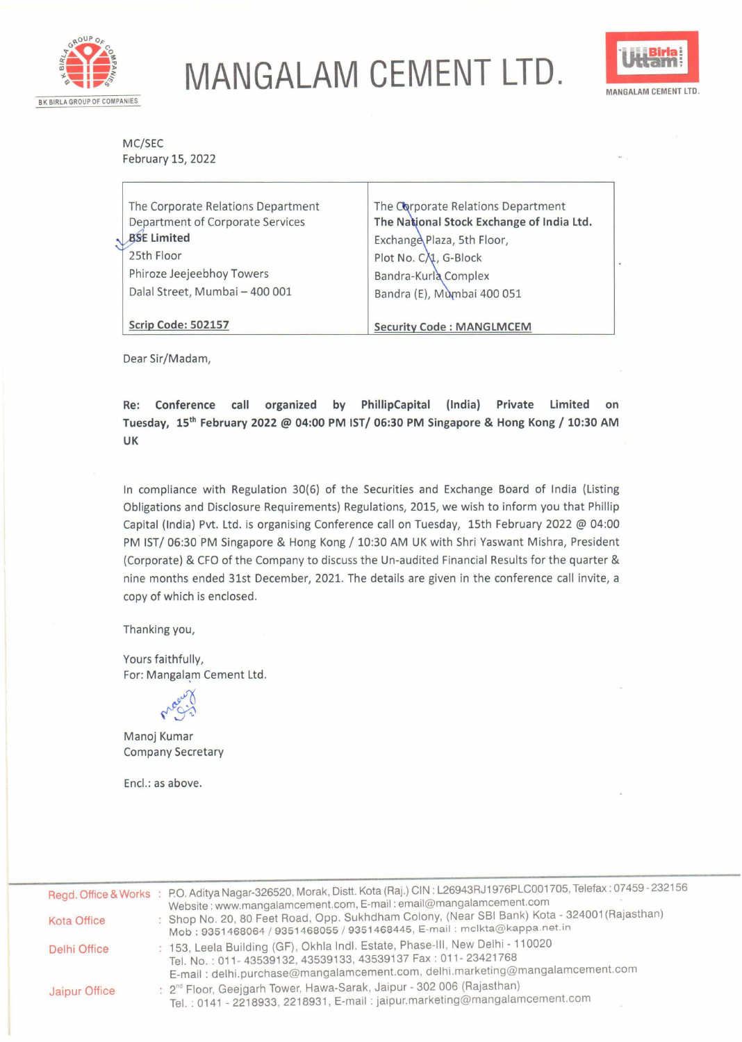

## **MANGALAM CEMENT LTD.**



MC/SEC February 15, 2022

| The Corporate Relations Department<br>Department of Corporate Services<br>BSE Limited<br>25th Floor<br>Phiroze Jeejeebhoy Towers<br>Dalal Street, Mumbai - 400 001 | The Corporate Relations Department<br>The National Stock Exchange of India Ltd.<br>Exchange Plaza, 5th Floor,<br>Plot No. C/1, G-Block<br>Bandra-Kurla Complex<br>Bandra (E), Mumbai 400 051 |  |
|--------------------------------------------------------------------------------------------------------------------------------------------------------------------|----------------------------------------------------------------------------------------------------------------------------------------------------------------------------------------------|--|
| Scrip Code: 502157                                                                                                                                                 | <b>Security Code: MANGLMCEM</b>                                                                                                                                                              |  |

Dear Sir/Madam,

**Re: Conference call organized by PhillipCapital (India) Private Limited on Tuesday, 15th February 2022@ 04:00 PM IST/ 06:30 PM Singapore** & **Hong Kong/ 10:30 AM UK** 

In compliance with Regulation 30(6) of the Securities and Exchange Board of India (Listing Obligations and Disclosure Requirements) Regulations, 2015, we wish to inform you that Phillip Capital (India) Pvt. Ltd. is organising Conference call on Tuesday, 15th February 2022 @ 04:00 PM IST/ 06:30 PM Singapore & Hong Kong/ 10:30 AM UK with Shri Yaswant Mishra, President (Corporate) & CFO of the Company to discuss the Un-audited Financial Results for the quarter & nine months ended 31st December, 2021. The details are given in the conference call invite, a copy of which is enclosed.

Thanking you,

Yours faithfully, For: Mangalam Cement Ltd.



Manoj Kumar Company Secretary

Encl.: as above.

|                    | Regd. Office & Works: P.O. Aditya Nagar-326520, Morak, Distt. Kota (Raj.) CIN: L26943RJ1976PLC001705, Telefax: 07459-232156                                                                                                                      |
|--------------------|--------------------------------------------------------------------------------------------------------------------------------------------------------------------------------------------------------------------------------------------------|
| <b>Kota Office</b> | Website: www.mangalamcement.com, E-mail: email@mangalamcement.com<br>Shop No. 20, 80 Feet Road, Opp. Sukhdham Colony, (Near SBI Bank) Kota - 324001 (Rajasthan)<br>Mob : 9351468064 / 9351468055 / 9351468445, E-mail : mclkta@kappa.net.in      |
| Delhi Office       | : 153, Leela Building (GF), Okhla Indl. Estate, Phase-III, New Delhi - 110020<br>Tel. No.: 011-43539132, 43539133, 43539137 Fax: 011-23421768                                                                                                    |
| Jaipur Office      | E-mail: delhi.purchase@mangalamcement.com, delhi.marketing@mangalamcement.com<br>: 2 <sup>nd</sup> Floor, Geejgarh Tower, Hawa-Sarak, Jaipur - 302 006 (Rajasthan)<br>Tel.: 0141 - 2218933, 2218931, E-mail: jaipur.marketing@mangalamcement.com |